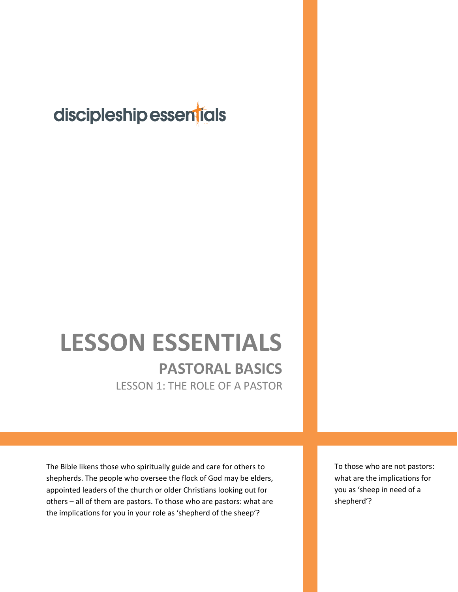## discipleship essentials

## **LESSON ESSENTIALS PASTORAL BASICS**

LESSON 1: THE ROLE OF A PASTOR

The Bible likens those who spiritually guide and care for others to shepherds. The people who oversee the flock of God may be elders, appointed leaders of the church or older Christians looking out for others – all of them are pastors. To those who are pastors: what are the implications for you in your role as 'shepherd of the sheep'?

To those who are not pastors: what are the implications for you as 'sheep in need of a shepherd'?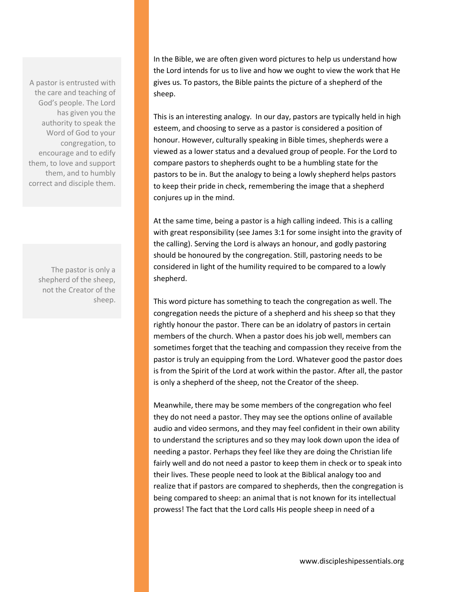A pastor is entrusted with the care and teaching of God's people. The Lord has given you the authority to speak the Word of God to your congregation, to encourage and to edify them, to love and support them, and to humbly correct and disciple them.

> The pastor is only a shepherd of the sheep, not the Creator of the sheep.

In the Bible, we are often given word pictures to help us understand how the Lord intends for us to live and how we ought to view the work that He gives us. To pastors, the Bible paints the picture of a shepherd of the sheep.

This is an interesting analogy. In our day, pastors are typically held in high esteem, and choosing to serve as a pastor is considered a position of honour. However, culturally speaking in Bible times, shepherds were a viewed as a lower status and a devalued group of people. For the Lord to compare pastors to shepherds ought to be a humbling state for the pastors to be in. But the analogy to being a lowly shepherd helps pastors to keep their pride in check, remembering the image that a shepherd conjures up in the mind.

At the same time, being a pastor is a high calling indeed. This is a calling with great responsibility (see James 3:1 for some insight into the gravity of the calling). Serving the Lord is always an honour, and godly pastoring should be honoured by the congregation. Still, pastoring needs to be considered in light of the humility required to be compared to a lowly shepherd.

This word picture has something to teach the congregation as well. The congregation needs the picture of a shepherd and his sheep so that they rightly honour the pastor. There can be an idolatry of pastors in certain members of the church. When a pastor does his job well, members can sometimes forget that the teaching and compassion they receive from the pastor is truly an equipping from the Lord. Whatever good the pastor does is from the Spirit of the Lord at work within the pastor. After all, the pastor is only a shepherd of the sheep, not the Creator of the sheep.

Meanwhile, there may be some members of the congregation who feel they do not need a pastor. They may see the options online of available audio and video sermons, and they may feel confident in their own ability to understand the scriptures and so they may look down upon the idea of needing a pastor. Perhaps they feel like they are doing the Christian life fairly well and do not need a pastor to keep them in check or to speak into their lives. These people need to look at the Biblical analogy too and realize that if pastors are compared to shepherds, then the congregation is being compared to sheep: an animal that is not known for its intellectual prowess! The fact that the Lord calls His people sheep in need of a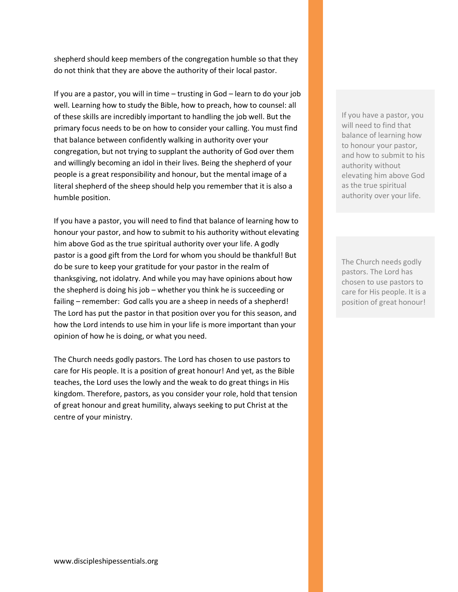shepherd should keep members of the congregation humble so that they do not think that they are above the authority of their local pastor.

If you are a pastor, you will in time – trusting in God – learn to do your job well. Learning how to study the Bible, how to preach, how to counsel: all of these skills are incredibly important to handling the job well. But the primary focus needs to be on how to consider your calling. You must find that balance between confidently walking in authority over your congregation, but not trying to supplant the authority of God over them and willingly becoming an idol in their lives. Being the shepherd of your people is a great responsibility and honour, but the mental image of a literal shepherd of the sheep should help you remember that it is also a humble position.

If you have a pastor, you will need to find that balance of learning how to honour your pastor, and how to submit to his authority without elevating him above God as the true spiritual authority over your life. A godly pastor is a good gift from the Lord for whom you should be thankful! But do be sure to keep your gratitude for your pastor in the realm of thanksgiving, not idolatry. And while you may have opinions about how the shepherd is doing his job – whether you think he is succeeding or failing – remember: God calls you are a sheep in needs of a shepherd! The Lord has put the pastor in that position over you for this season, and how the Lord intends to use him in your life is more important than your opinion of how he is doing, or what you need.

The Church needs godly pastors. The Lord has chosen to use pastors to care for His people. It is a position of great honour! And yet, as the Bible teaches, the Lord uses the lowly and the weak to do great things in His kingdom. Therefore, pastors, as you consider your role, hold that tension of great honour and great humility, always seeking to put Christ at the centre of your ministry.

If you have a pastor, you will need to find that balance of learning how to honour your pastor, and how to submit to his authority without elevating him above God as the true spiritual authority over your life.

The Church needs godly pastors. The Lord has chosen to use pastors to care for His people. It is a position of great honour!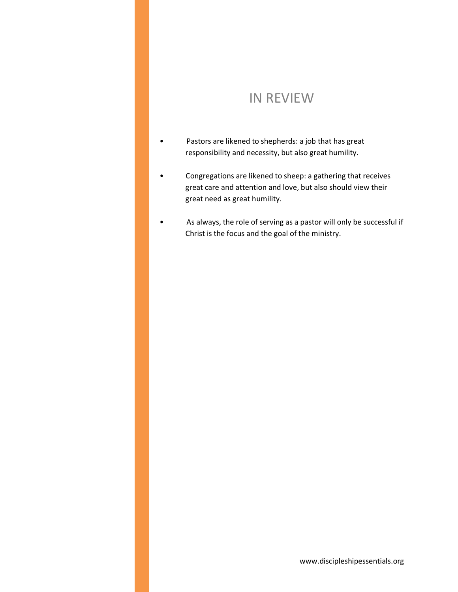## IN REVIEW

- Pastors are likened to shepherds: a job that has great responsibility and necessity, but also great humility.
- Congregations are likened to sheep: a gathering that receives great care and attention and love, but also should view their great need as great humility.
- As always, the role of serving as a pastor will only be successful if Christ is the focus and the goal of the ministry.